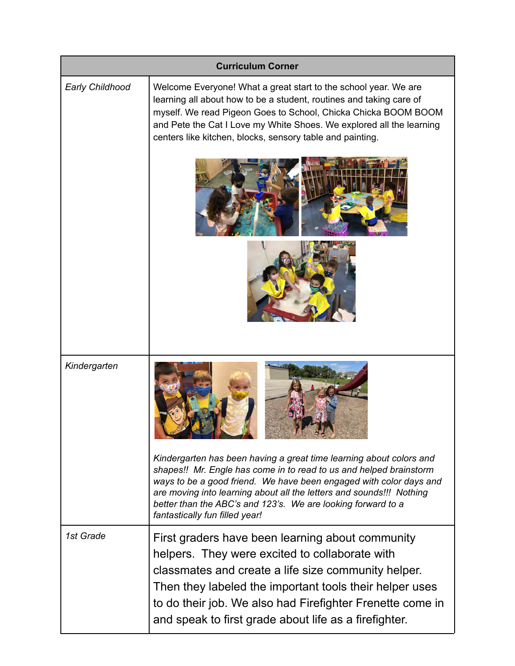| <b>Curriculum Corner</b> |                                                                                                                                                                                                                                                                                                                                                                                           |  |
|--------------------------|-------------------------------------------------------------------------------------------------------------------------------------------------------------------------------------------------------------------------------------------------------------------------------------------------------------------------------------------------------------------------------------------|--|
| <b>Early Childhood</b>   | Welcome Everyone! What a great start to the school year. We are<br>learning all about how to be a student, routines and taking care of<br>myself. We read Pigeon Goes to School, Chicka Chicka BOOM BOOM<br>and Pete the Cat I Love my White Shoes. We explored all the learning<br>centers like kitchen, blocks, sensory table and painting.                                             |  |
|                          |                                                                                                                                                                                                                                                                                                                                                                                           |  |
|                          |                                                                                                                                                                                                                                                                                                                                                                                           |  |
| Kindergarten             |                                                                                                                                                                                                                                                                                                                                                                                           |  |
|                          | Kindergarten has been having a great time learning about colors and<br>shapes!! Mr. Engle has come in to read to us and helped brainstorm<br>ways to be a good friend. We have been engaged with color days and<br>are moving into learning about all the letters and sounds!!! Nothing<br>better than the ABC's and 123's. We are looking forward to a<br>fantastically fun filled year! |  |
| 1st Grade                | First graders have been learning about community<br>helpers. They were excited to collaborate with<br>classmates and create a life size community helper.<br>Then they labeled the important tools their helper uses<br>to do their job. We also had Firefighter Frenette come in<br>and speak to first grade about life as a firefighter.                                                |  |